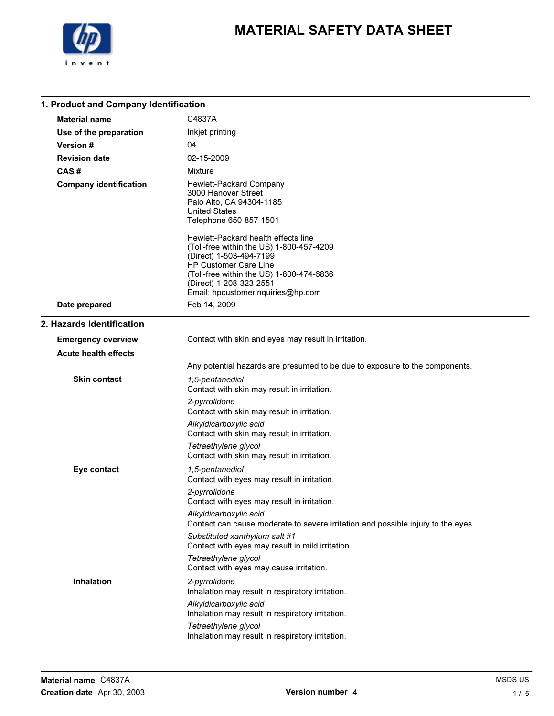

| 1. Product and Company Identification |                                                                                                                                                                                                                                                 |  |
|---------------------------------------|-------------------------------------------------------------------------------------------------------------------------------------------------------------------------------------------------------------------------------------------------|--|
| <b>Material name</b>                  | C4837A                                                                                                                                                                                                                                          |  |
| Use of the preparation                | Inkjet printing                                                                                                                                                                                                                                 |  |
| Version #                             | 04                                                                                                                                                                                                                                              |  |
| <b>Revision date</b>                  | 02-15-2009                                                                                                                                                                                                                                      |  |
| CAS#                                  | Mixture                                                                                                                                                                                                                                         |  |
| <b>Company identification</b>         | Hewlett-Packard Company<br>3000 Hanover Street<br>Palo Alto, CA 94304-1185<br>United States<br>Telephone 650-857-1501                                                                                                                           |  |
|                                       | Hewlett-Packard health effects line<br>(Toll-free within the US) 1-800-457-4209<br>(Direct) 1-503-494-7199<br>HP Customer Care Line<br>(Toll-free within the US) 1-800-474-6836<br>(Direct) 1-208-323-2551<br>Email: hpcustomeringuiries@hp.com |  |
| Date prepared                         | Feb 14, 2009                                                                                                                                                                                                                                    |  |
| 2. Hazards Identification             |                                                                                                                                                                                                                                                 |  |
| <b>Emergency overview</b>             | Contact with skin and eyes may result in irritation.                                                                                                                                                                                            |  |
| <b>Acute health effects</b>           |                                                                                                                                                                                                                                                 |  |
|                                       | Any potential hazards are presumed to be due to exposure to the components.                                                                                                                                                                     |  |
| Skin contact                          | 1,5-pentanediol<br>Contact with skin may result in irritation.                                                                                                                                                                                  |  |
|                                       | 2-pyrrolidone<br>Contact with skin may result in irritation.                                                                                                                                                                                    |  |
|                                       | Alkyldicarboxylic acid<br>Contact with skin may result in irritation.                                                                                                                                                                           |  |
|                                       | Tetraethylene glycol<br>Contact with skin may result in irritation.                                                                                                                                                                             |  |
| Eye contact                           | 1,5-pentanediol<br>Contact with eyes may result in irritation.<br>2-pyrrolidone                                                                                                                                                                 |  |
|                                       | Contact with eyes may result in irritation.                                                                                                                                                                                                     |  |
|                                       | Alkyldicarboxylic acid<br>Contact can cause moderate to severe irritation and possible injury to the eyes.                                                                                                                                      |  |
|                                       | Substituted xanthylium salt #1<br>Contact with eyes may result in mild irritation.                                                                                                                                                              |  |
|                                       | Tetraethylene glycol<br>Contact with eyes may cause irritation.                                                                                                                                                                                 |  |
| <b>Inhalation</b>                     | 2-pyrrolidone<br>Inhalation may result in respiratory irritation.<br>Alkyldicarboxylic acid<br>Inhalation may result in respiratory irritation.                                                                                                 |  |
|                                       | Tetraethylene glycol<br>Inhalation may result in respiratory irritation.                                                                                                                                                                        |  |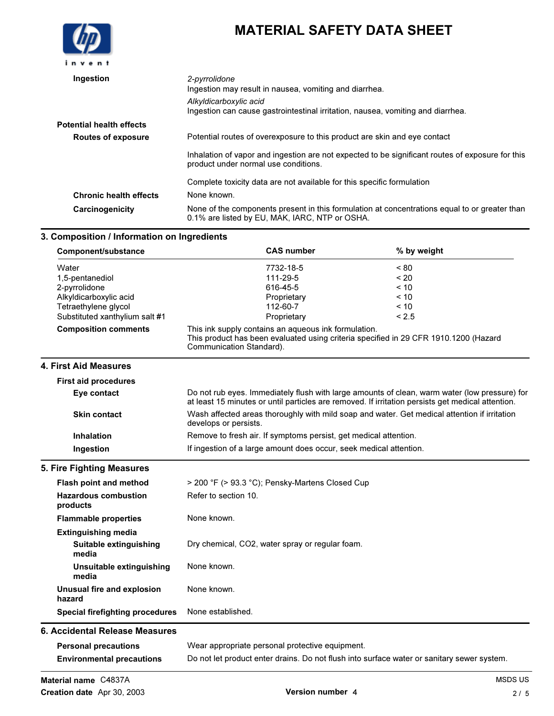

| Ingestion                       | 2-pyrrolidone<br>Ingestion may result in nausea, vomiting and diarrhea.                                                                         |
|---------------------------------|-------------------------------------------------------------------------------------------------------------------------------------------------|
|                                 | Alkyldicarboxylic acid<br>Ingestion can cause gastrointestinal irritation, nausea, vomiting and diarrhea.                                       |
| <b>Potential health effects</b> |                                                                                                                                                 |
| <b>Routes of exposure</b>       | Potential routes of overexposure to this product are skin and eye contact                                                                       |
|                                 | Inhalation of vapor and ingestion are not expected to be significant routes of exposure for this<br>product under normal use conditions.        |
|                                 | Complete toxicity data are not available for this specific formulation                                                                          |
| <b>Chronic health effects</b>   | None known.                                                                                                                                     |
| Carcinogenicity                 | None of the components present in this formulation at concentrations equal to or greater than<br>0.1% are listed by EU, MAK, IARC, NTP or OSHA. |

## 3. Composition / Information on Ingredients

| Component/substance            | <b>CAS number</b>                                                                                                                                                        | % by weight |
|--------------------------------|--------------------------------------------------------------------------------------------------------------------------------------------------------------------------|-------------|
| Water                          | 7732-18-5                                                                                                                                                                | ~180        |
| 1,5-pentanediol                | 111-29-5                                                                                                                                                                 | ~120        |
| 2-pyrrolidone                  | 616-45-5                                                                                                                                                                 | < 10        |
| Alkyldicarboxylic acid         | Proprietary                                                                                                                                                              | $~<$ 10     |
| Tetraethylene glycol           | 112-60-7                                                                                                                                                                 | < 10        |
| Substituted xanthylium salt #1 | Proprietary                                                                                                                                                              | < 2.5       |
| <b>Composition comments</b>    | This ink supply contains an aqueous ink formulation.<br>This product has been evaluated using criteria specified in 29 CFR 1910.1200 (Hazard<br>Communication Standard). |             |

| <b>First aid procedures</b> |                                                                                                                                                                                                    |
|-----------------------------|----------------------------------------------------------------------------------------------------------------------------------------------------------------------------------------------------|
| Eye contact                 | Do not rub eyes. Immediately flush with large amounts of clean, warm water (low pressure) for<br>at least 15 minutes or until particles are removed. If irritation persists get medical attention. |
| <b>Skin contact</b>         | Wash affected areas thoroughly with mild soap and water. Get medical attention if irritation<br>develops or persists.                                                                              |
| <b>Inhalation</b>           | Remove to fresh air. If symptoms persist, get medical attention.                                                                                                                                   |
| Ingestion                   | If ingestion of a large amount does occur, seek medical attention.                                                                                                                                 |

## 5. Fire Fighting Measures

| Flash point and method                  | > 200 °F (> 93.3 °C); Pensky-Martens Closed Cup |
|-----------------------------------------|-------------------------------------------------|
| <b>Hazardous combustion</b><br>products | Refer to section 10.                            |
| <b>Flammable properties</b>             | None known.                                     |
| <b>Extinguishing media</b>              |                                                 |
| Suitable extinguishing<br>media         | Dry chemical, CO2, water spray or regular foam. |
| Unsuitable extinguishing<br>media       | None known.                                     |
| Unusual fire and explosion<br>hazard    | None known.                                     |
| Special firefighting procedures         | None established.                               |
| 6. Accidental Release Measures          |                                                 |
| <b>Personal precautions</b>             | Wear appropriate personal protective equipment. |

| <b>Personal precautions</b>      | Wear appropriate personal protective equipment.                                            |
|----------------------------------|--------------------------------------------------------------------------------------------|
| <b>Environmental precautions</b> | Do not let product enter drains. Do not flush into surface water or sanitary sewer system. |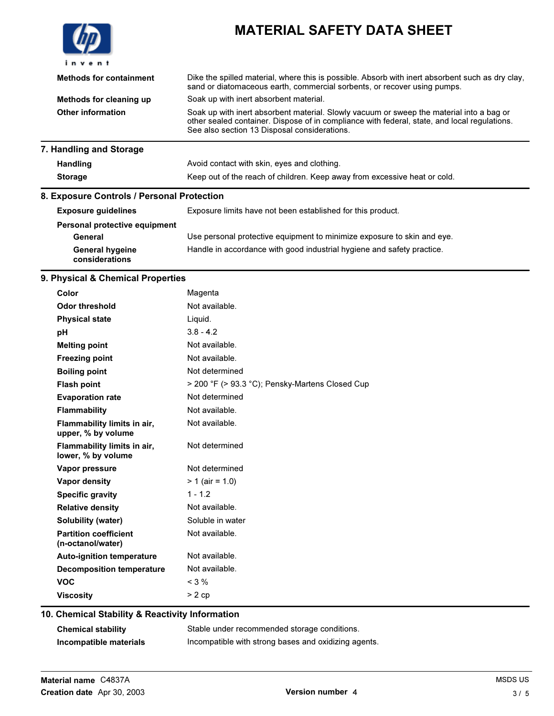| invent                         | <b>MATERIAL SAFETY DATA SHEET</b>                                                                                                                                                                                                        |
|--------------------------------|------------------------------------------------------------------------------------------------------------------------------------------------------------------------------------------------------------------------------------------|
| <b>Methods for containment</b> | Dike the spilled material, where this is possible. Absorb with inert absorbent such as dry clay,<br>sand or diatomaceous earth, commercial sorbents, or recover using pumps.                                                             |
| Methods for cleaning up        | Soak up with inert absorbent material.                                                                                                                                                                                                   |
| Other information              | Soak up with inert absorbent material. Slowly vacuum or sweep the material into a bag or<br>other sealed container. Dispose of in compliance with federal, state, and local regulations.<br>See also section 13 Disposal considerations. |
| 7. Handling and Storage        |                                                                                                                                                                                                                                          |
| <b>Handling</b>                | Avoid contact with skin, eyes and clothing.                                                                                                                                                                                              |
| <b>Storage</b>                 | Keep out of the reach of children. Keep away from excessive heat or cold.                                                                                                                                                                |

## 8. Exposure Controls / Personal Protection

| <b>Exposure quidelines</b>               | Exposure limits have not been established for this product.             |
|------------------------------------------|-------------------------------------------------------------------------|
| Personal protective equipment            |                                                                         |
| General                                  | Use personal protective equipment to minimize exposure to skin and eye. |
| <b>General hygeine</b><br>considerations | Handle in accordance with good industrial hygiene and safety practice.  |

## 9. Physical & Chemical Properties

| Color                                             | Magenta                                         |
|---------------------------------------------------|-------------------------------------------------|
| <b>Odor threshold</b>                             | Not available.                                  |
| <b>Physical state</b>                             | Liquid.                                         |
| рH                                                | $3.8 - 4.2$                                     |
| <b>Melting point</b>                              | Not available.                                  |
| <b>Freezing point</b>                             | Not available.                                  |
| <b>Boiling point</b>                              | Not determined                                  |
| <b>Flash point</b>                                | > 200 °F (> 93.3 °C); Pensky-Martens Closed Cup |
| <b>Evaporation rate</b>                           | Not determined                                  |
| <b>Flammability</b>                               | Not available.                                  |
| Flammability limits in air,<br>upper, % by volume | Not available.                                  |
| Flammability limits in air,<br>lower, % by volume | Not determined                                  |
| Vapor pressure                                    | Not determined                                  |
| <b>Vapor density</b>                              | $> 1$ (air = 1.0)                               |
| <b>Specific gravity</b>                           | $1 - 1.2$                                       |
| <b>Relative density</b>                           | Not available.                                  |
| Solubility (water)                                | Soluble in water                                |
| <b>Partition coefficient</b><br>(n-octanol/water) | Not available.                                  |
| <b>Auto-ignition temperature</b>                  | Not available.                                  |
| Decomposition temperature                         | Not available.                                  |
| <b>VOC</b>                                        | $<$ 3 %                                         |
| <b>Viscosity</b>                                  | $> 2$ cp                                        |

## 10. Chemical Stability & Reactivity Information

| <b>Chemical stability</b> | Stable under recommended storage conditions.         |
|---------------------------|------------------------------------------------------|
| Incompatible materials    | Incompatible with strong bases and oxidizing agents. |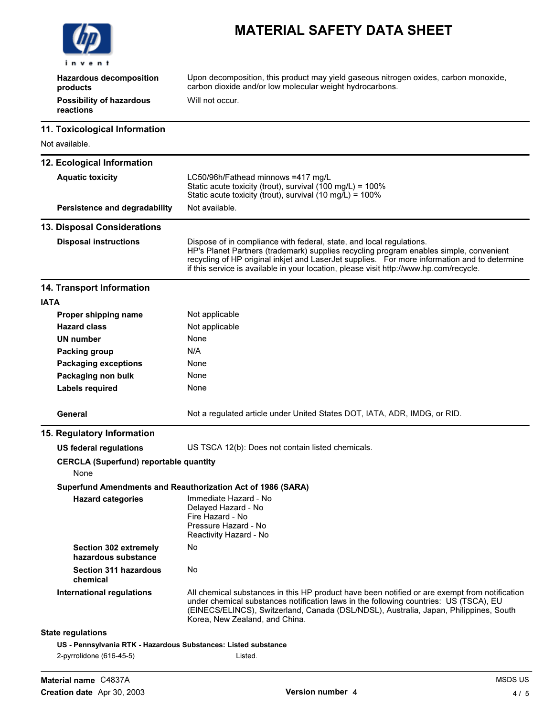

Hazardous decomposition products Upon decomposition, this product may yield gaseous nitrogen oxides, carbon monoxide, carbon dioxide and/or low molecular weight hydrocarbons. Possibility of hazardous reactions Will not occur.

#### 11. Toxicological Information

Not available.

| <b>IVOL available.</b>                                |                                                                                                                                                                                                                                                                                                                                                          |
|-------------------------------------------------------|----------------------------------------------------------------------------------------------------------------------------------------------------------------------------------------------------------------------------------------------------------------------------------------------------------------------------------------------------------|
| 12. Ecological Information                            |                                                                                                                                                                                                                                                                                                                                                          |
| <b>Aquatic toxicity</b>                               | LC50/96h/Fathead minnows =417 mg/L<br>Static acute toxicity (trout), survival (100 mg/L) = 100%<br>Static acute toxicity (trout), survival (10 mg/L) = 100%                                                                                                                                                                                              |
| Persistence and degradability                         | Not available.                                                                                                                                                                                                                                                                                                                                           |
| 13. Disposal Considerations                           |                                                                                                                                                                                                                                                                                                                                                          |
| <b>Disposal instructions</b>                          | Dispose of in compliance with federal, state, and local regulations.<br>HP's Planet Partners (trademark) supplies recycling program enables simple, convenient<br>recycling of HP original inkjet and LaserJet supplies. For more information and to determine<br>if this service is available in your location, please visit http://www.hp.com/recycle. |
| 14. Transport Information                             |                                                                                                                                                                                                                                                                                                                                                          |
| <b>IATA</b>                                           |                                                                                                                                                                                                                                                                                                                                                          |
| Proper shipping name                                  | Not applicable                                                                                                                                                                                                                                                                                                                                           |
| <b>Hazard class</b>                                   | Not applicable                                                                                                                                                                                                                                                                                                                                           |
| UN number                                             | None                                                                                                                                                                                                                                                                                                                                                     |
| Packing group                                         | N/A                                                                                                                                                                                                                                                                                                                                                      |
| <b>Packaging exceptions</b>                           | None                                                                                                                                                                                                                                                                                                                                                     |
| Packaging non bulk                                    | None                                                                                                                                                                                                                                                                                                                                                     |
| Labels required                                       | None                                                                                                                                                                                                                                                                                                                                                     |
| General                                               | Not a regulated article under United States DOT, IATA, ADR, IMDG, or RID.                                                                                                                                                                                                                                                                                |
| 15. Regulatory Information                            |                                                                                                                                                                                                                                                                                                                                                          |
| <b>US federal regulations</b>                         | US TSCA 12(b): Does not contain listed chemicals.                                                                                                                                                                                                                                                                                                        |
| <b>CERCLA (Superfund) reportable quantity</b><br>None |                                                                                                                                                                                                                                                                                                                                                          |
|                                                       | Superfund Amendments and Reauthorization Act of 1986 (SARA)                                                                                                                                                                                                                                                                                              |
| <b>Hazard categories</b>                              | Immediate Hazard - No<br>Delayed Hazard - No<br>Fire Hazard - No<br>Pressure Hazard - No<br>Reactivity Hazard - No                                                                                                                                                                                                                                       |
| <b>Section 302 extremely</b><br>hazardous substance   | No                                                                                                                                                                                                                                                                                                                                                       |
| <b>Section 311 hazardous</b><br>chemical              | No                                                                                                                                                                                                                                                                                                                                                       |
| <b>International regulations</b>                      | All chemical substances in this HP product have been notified or are exempt from notification<br>under chemical substances notification laws in the following countries: US (TSCA), EU<br>(EINECS/ELINCS), Switzerland, Canada (DSL/NDSL), Australia, Japan, Philippines, South<br>Korea, New Zealand, and China.                                        |
| <b>State regulations</b>                              |                                                                                                                                                                                                                                                                                                                                                          |
|                                                       | US - Pennsylvania RTK - Hazardous Substances: Listed substance                                                                                                                                                                                                                                                                                           |
| 2-pyrrolidone (616-45-5)                              | Listed.                                                                                                                                                                                                                                                                                                                                                  |